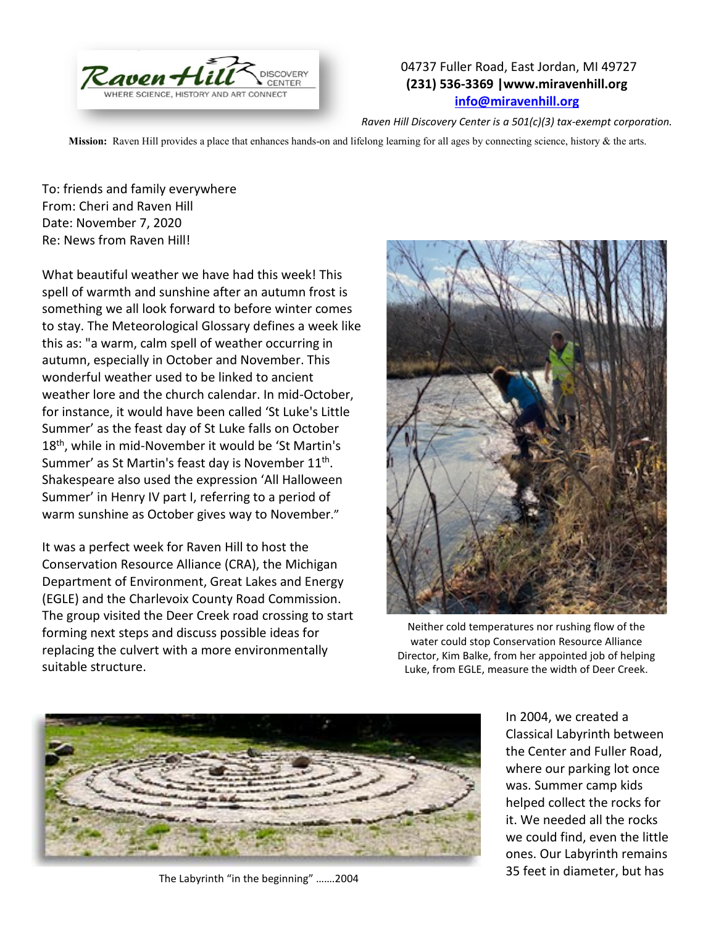

## 04737 Fuller Road, East Jordan, MI 49727 **(231) 536-3369 |www.miravenhill.org [info@miravenhill.org](mailto:info@miravenhill.org)**

*Raven Hill Discovery Center is a 501(c)(3) tax-exempt corporation.*

**Mission:** Raven Hill provides a place that enhances hands-on and lifelong learning for all ages by connecting science, history & the arts.

To: friends and family everywhere From: Cheri and Raven Hill Date: November 7, 2020 Re: News from Raven Hill!

What beautiful weather we have had this week! This spell of warmth and sunshine after an autumn frost is something we all look forward to before winter comes to stay. The Meteorological Glossary defines a week like this as: "a warm, calm spell of weather occurring in autumn, especially in October and November. This wonderful weather used to be linked to ancient weather lore and the church calendar. In mid-October, for instance, it would have been called 'St Luke's Little Summer' as the feast day of St Luke falls on October 18<sup>th</sup>, while in mid-November it would be 'St Martin's Summer' as St Martin's feast day is November 11<sup>th</sup>. Shakespeare also used the expression 'All Halloween Summer' in Henry IV part I, referring to a period of warm sunshine as October gives way to November."

It was a perfect week for Raven Hill to host the Conservation Resource Alliance (CRA), the Michigan Department of Environment, Great Lakes and Energy (EGLE) and the Charlevoix County Road Commission. The group visited the Deer Creek road crossing to start forming next steps and discuss possible ideas for replacing the culvert with a more environmentally suitable structure.



Neither cold temperatures nor rushing flow of the water could stop Conservation Resource Alliance Director, Kim Balke, from her appointed job of helping Luke, from EGLE, measure the width of Deer Creek.



The Labyrinth "in the beginning" …….2004

In 2004, we created a Classical Labyrinth between the Center and Fuller Road, where our parking lot once was. Summer camp kids helped collect the rocks for it. We needed all the rocks we could find, even the little ones. Our Labyrinth remains 35 feet in diameter, but has